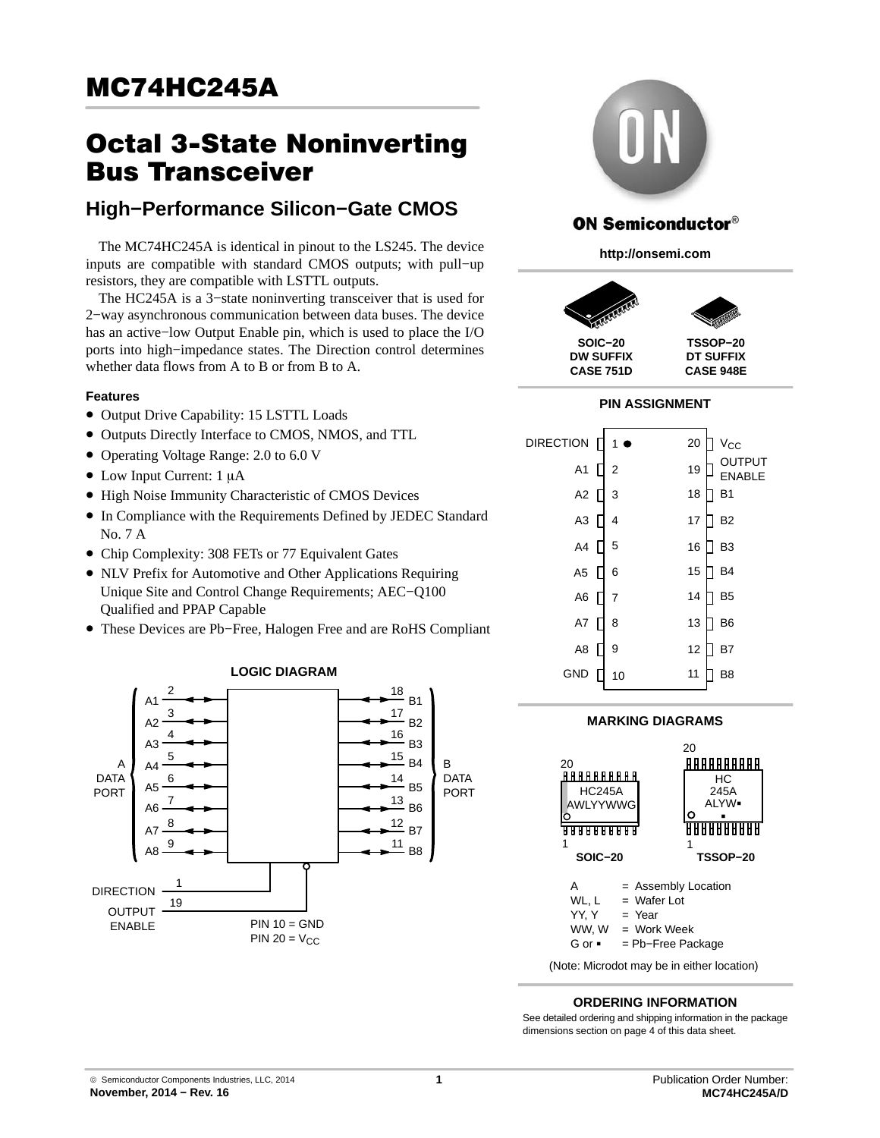# **MC74HC245A**  $\frac{1}{\sqrt{2\pi}}$

# **Octal 3-State Noninverting<br>Bus Transceiver**

## **Busiers**<br>Bush Derfermanes Cilie **High−Performance Silicon−Gate CMOS**

The MC74HC245A is identical in pinout to the LS245. The device inputs are compatible with standard CMOS outputs; with pull−up resistors, they are compatible with LSTTL outputs.

The HC245A is a 3−state noninverting transceiver that is used for 2−way asynchronous communication between data buses. The device has an active−low Output Enable pin, which is used to place the I/O ports into high−impedance states. The Direction control determines whether data flows from A to B or from B to A.

## **Features**

- Output Drive Capability: 15 LSTTL Loads
- Outputs Directly Interface to CMOS, NMOS, and TTL
- Operating Voltage Range: 2.0 to 6.0 V
- $\bullet$  Low Input Current: 1 µA
- High Noise Immunity Characteristic of CMOS Devices
- In Compliance with the Requirements Defined by JEDEC Standard No. 7 A
- Chip Complexity: 308 FETs or 77 Equivalent Gates
- NLV Prefix for Automotive and Other Applications Requiring Unique Site and Control Change Requirements; AEC−Q100 Qualified and PPAP Capable
- These Devices are Pb−Free, Halogen Free and are RoHS Compliant





## **ON Semiconductor®**

**http://onsemi.com**



## **PIN ASSIGNMENT**

| <b>DIRECTION</b> | 1 <sup>1</sup> | 20 | $V_{\rm CC}$            |
|------------------|----------------|----|-------------------------|
| A <sub>1</sub>   | $\overline{2}$ | 19 | OUTPUT<br><b>ENABLE</b> |
| A2               | 3              | 18 | <b>B1</b>               |
| A <sub>3</sub>   | 4              | 17 | B <sub>2</sub>          |
| A4               | 5              | 16 | B <sub>3</sub>          |
| A <sub>5</sub>   | 6              | 15 | B <sub>4</sub>          |
| A6               | 7              | 14 | B <sub>5</sub>          |
| A7               | 8              | 13 | B <sub>6</sub>          |
| A8               | 9              | 12 | B7                      |
| <b>GND</b>       | 10             | 11 | B <sub>8</sub>          |



#### **ORDERING INFORMATION**

See detailed ordering and shipping information in the package dimensions section on page [4](#page-3-0) of this data sheet.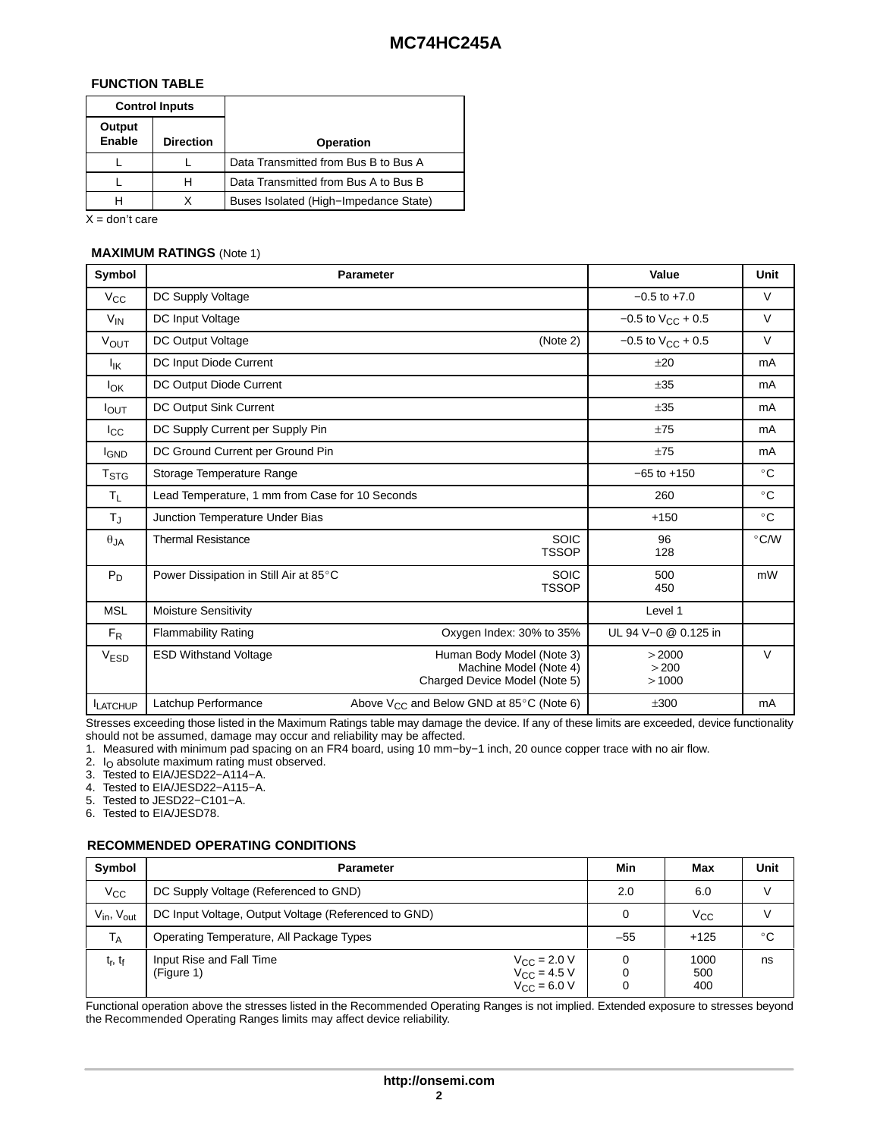## **FUNCTION TABLE**

| <b>Control Inputs</b>                |   |                                       |
|--------------------------------------|---|---------------------------------------|
| Output<br>Enable<br><b>Direction</b> |   | <b>Operation</b>                      |
|                                      |   | Data Transmitted from Bus B to Bus A  |
|                                      | н | Data Transmitted from Bus A to Bus B  |
|                                      |   | Buses Isolated (High-Impedance State) |

 $X =$  don't care

## **MAXIMUM RATINGS** (Note 1)

| Symbol           |                                                 | <b>Parameter</b>                                                                     | Value                    | Unit          |
|------------------|-------------------------------------------------|--------------------------------------------------------------------------------------|--------------------------|---------------|
| $V_{\rm CC}$     | DC Supply Voltage                               |                                                                                      | $-0.5$ to $+7.0$         | $\vee$        |
| $V_{IN}$         | DC Input Voltage                                |                                                                                      | $-0.5$ to $V_{CC}$ + 0.5 | V             |
| VOUT             | <b>DC Output Voltage</b>                        | (Note 2)                                                                             | $-0.5$ to $V_{CC}$ + 0.5 | $\vee$        |
| ŀικ              | DC Input Diode Current                          |                                                                                      | $+20$                    | mA            |
| $I_{OK}$         | DC Output Diode Current                         |                                                                                      | ±35                      | mA            |
| $I_{\text{OUT}}$ | DC Output Sink Current                          |                                                                                      | ±35                      | mA            |
| $_{\rm lcc}$     | DC Supply Current per Supply Pin                |                                                                                      | ±75                      | mA            |
| <b>I</b> GND     | DC Ground Current per Ground Pin                |                                                                                      | ±75                      | mA            |
| T <sub>STG</sub> | Storage Temperature Range                       |                                                                                      | $-65$ to $+150$          | $^{\circ}$ C  |
| $T_L$            | Lead Temperature, 1 mm from Case for 10 Seconds |                                                                                      | 260                      | $^{\circ}$ C  |
| TJ               | Junction Temperature Under Bias                 |                                                                                      | $+150$                   | $^{\circ}$ C  |
| $\theta_{JA}$    | <b>Thermal Resistance</b>                       | <b>SOIC</b><br><b>TSSOP</b>                                                          | 96<br>128                | $\degree$ C/W |
| $P_D$            | Power Dissipation in Still Air at 85°C          | <b>SOIC</b><br><b>TSSOP</b>                                                          | 500<br>450               | mW            |
| <b>MSL</b>       | <b>Moisture Sensitivity</b>                     |                                                                                      | Level 1                  |               |
| $F_R$            | <b>Flammability Rating</b>                      | Oxygen Index: 30% to 35%                                                             | UL 94 V-0 @ 0.125 in     |               |
| V <sub>ESD</sub> | <b>ESD Withstand Voltage</b>                    | Human Body Model (Note 3)<br>Machine Model (Note 4)<br>Charged Device Model (Note 5) | >2000<br>>200<br>>1000   | V             |
| <b>LATCHUP</b>   | Latchup Performance                             | Above $V_{CC}$ and Below GND at 85 $\degree$ C (Note 6)                              | ±300                     | mA            |

Stresses exceeding those listed in the Maximum Ratings table may damage the device. If any of these limits are exceeded, device functionality should not be assumed, damage may occur and reliability may be affected.

1. Measured with minimum pad spacing on an FR4 board, using 10 mm−by−1 inch, 20 ounce copper trace with no air flow.

2.  $I<sub>O</sub>$  absolute maximum rating must observed.

3. Tested to EIA/JESD22−A114−A.

4. Tested to EIA/JESD22−A115−A.

5. Tested to JESD22−C101−A.

6. Tested to EIA/JESD78.

## **RECOMMENDED OPERATING CONDITIONS**

| Symbol                             | <b>Parameter</b>                                                                                              |  | Min   | Max                | Unit         |
|------------------------------------|---------------------------------------------------------------------------------------------------------------|--|-------|--------------------|--------------|
| $V_{CC}$                           | DC Supply Voltage (Referenced to GND)                                                                         |  | 2.0   | 6.0                |              |
| V <sub>in</sub> , V <sub>out</sub> | DC Input Voltage, Output Voltage (Referenced to GND)                                                          |  |       | $V_{CC}$           |              |
| $T_A$                              | Operating Temperature, All Package Types                                                                      |  | $-55$ | $+125$             | $^{\circ}$ C |
| $t_{r}$ , $t_{f}$                  | Input Rise and Fall Time<br>$V_{\rm CC}$ = 2.0 V<br>$V_{\text{CC}} = 4.5$ V<br>(Figure 1)<br>$V_{CC} = 6.0 V$ |  |       | 1000<br>500<br>400 | ns           |

Functional operation above the stresses listed in the Recommended Operating Ranges is not implied. Extended exposure to stresses beyond the Recommended Operating Ranges limits may affect device reliability.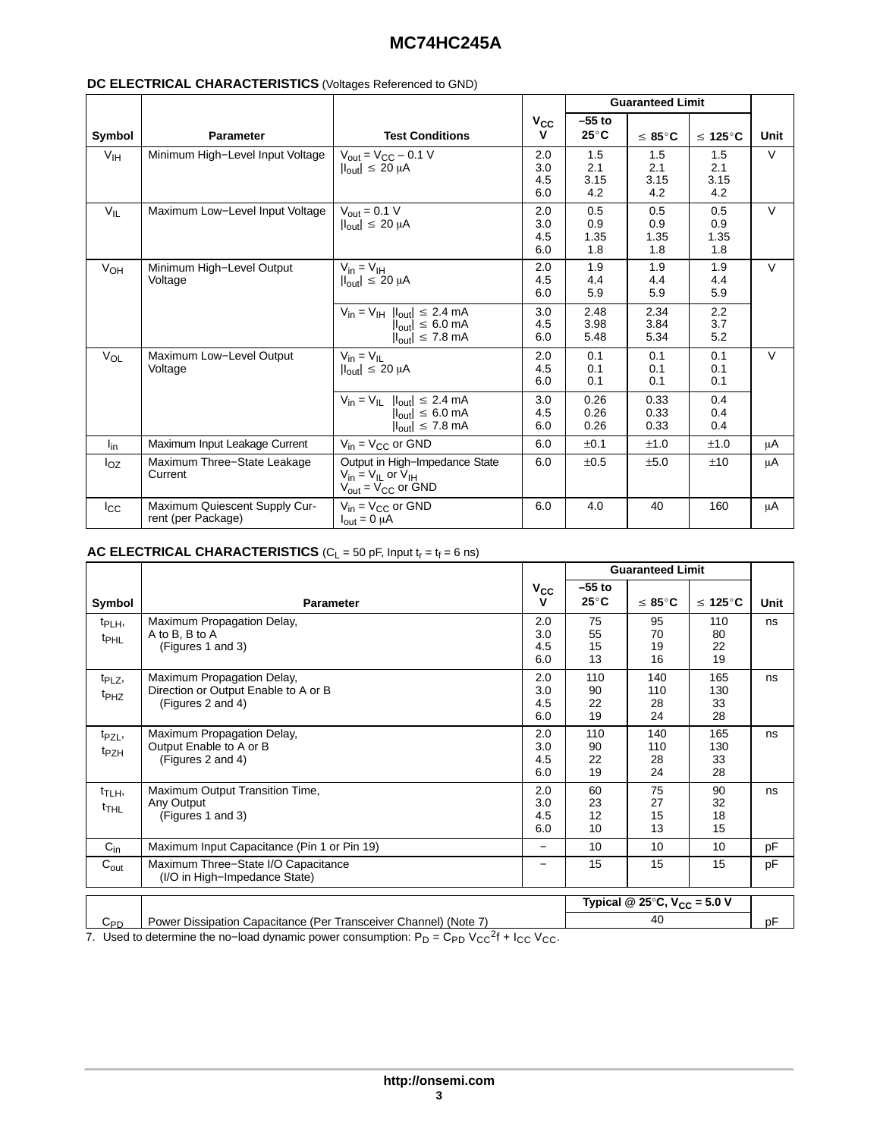## **MC74HC245A**

|                 |                                                     |                                                                                                                              |                          |                           | <b>Guaranteed Limit</b>   |                           |        |
|-----------------|-----------------------------------------------------|------------------------------------------------------------------------------------------------------------------------------|--------------------------|---------------------------|---------------------------|---------------------------|--------|
|                 |                                                     |                                                                                                                              | $V_{CC}$                 | $-55$ to                  |                           |                           |        |
| Symbol          | <b>Parameter</b>                                    | <b>Test Conditions</b>                                                                                                       | v                        | $25^{\circ}$ C            | $\leq 85^{\circ}$ C       | $\leq 125^{\circ}$ C      | Unit   |
| V <sub>IH</sub> | Minimum High-Level Input Voltage                    | $V_{\text{out}} = V_{\text{CC}} - 0.1$ V<br>$ I_{\text{out}}  \leq 20 \mu A$                                                 | 2.0<br>3.0<br>4.5<br>6.0 | 1.5<br>2.1<br>3.15<br>4.2 | 1.5<br>2.1<br>3.15<br>4.2 | 1.5<br>2.1<br>3.15<br>4.2 | $\vee$ |
| $V_{IL}$        | Maximum Low-Level Input Voltage                     | $V_{\text{out}} = 0.1 V$<br>$ I_{\text{out}}  \leq 20 \mu A$                                                                 | 2.0<br>3.0<br>4.5<br>6.0 | 0.5<br>0.9<br>1.35<br>1.8 | 0.5<br>0.9<br>1.35<br>1.8 | 0.5<br>0.9<br>1.35<br>1.8 | $\vee$ |
| $V_{OH}$        | Minimum High-Level Output<br>Voltage                | $V_{in} = V_{IH}$<br>$ I_{\text{out}}  \leq 20 \mu A$                                                                        | 2.0<br>4.5<br>6.0        | 1.9<br>4.4<br>5.9         | 1.9<br>4.4<br>5.9         | 1.9<br>4.4<br>5.9         | $\vee$ |
|                 |                                                     | $V_{in} = V_{IH}$ $ I_{out}  \le 2.4$ mA<br>$ I_{\text{out}}  \leq 6.0 \text{ mA}$<br>$ I_{\text{out}}  \le 7.8 \text{ mA}$  | 3.0<br>4.5<br>6.0        | 2.48<br>3.98<br>5.48      | 2.34<br>3.84<br>5.34      | 2.2<br>3.7<br>5.2         |        |
| $V_{OL}$        | Maximum Low-Level Output<br>Voltage                 | $V_{in} = V_{II}$<br>$ I_{\text{out}}  \leq 20 \mu A$                                                                        | 2.0<br>4.5<br>6.0        | 0.1<br>0.1<br>0.1         | 0.1<br>0.1<br>0.1         | 0.1<br>0.1<br>0.1         | $\vee$ |
|                 |                                                     | $V_{in} = V_{IL}$ $ I_{out}  \leq 2.4$ mA<br>$ I_{\text{out}}  \leq 6.0 \text{ mA}$<br>$ I_{\text{out}}  \le 7.8 \text{ mA}$ | 3.0<br>4.5<br>6.0        | 0.26<br>0.26<br>0.26      | 0.33<br>0.33<br>0.33      | 0.4<br>0.4<br>0.4         |        |
| $I_{\text{in}}$ | Maximum Input Leakage Current                       | $V_{in} = V_{CC}$ or GND                                                                                                     | 6.0                      | ±0.1                      | ±1.0                      | ±1.0                      | μA     |
| $I_{OZ}$        | Maximum Three-State Leakage<br>Current              | Output in High-Impedance State<br>$V_{in} = V_{IL}$ or $V_{IH}$<br>$V_{\text{out}} = V_{\text{CC}}$ or GND                   | 6.0                      | ±0.5                      | ±5.0                      | ±10                       | μA     |
| $I_{\rm CC}$    | Maximum Quiescent Supply Cur-<br>rent (per Package) | $V_{in} = V_{CC}$ or GND<br>$I_{\text{out}} = 0 \mu A$                                                                       | 6.0                      | 4.0                       | 40                        | 160                       | μA     |

## **DC ELECTRICAL CHARACTERISTICS** (Voltages Referenced to GND)

## **AC ELECTRICAL CHARACTERISTICS** ( $C_L$  = 50 pF, Input  $t_r = t_f = 6$  ns)

|                                        |                                                                                         |                          |                          | <b>Guaranteed Limit</b>                           |                        |      |
|----------------------------------------|-----------------------------------------------------------------------------------------|--------------------------|--------------------------|---------------------------------------------------|------------------------|------|
| Symbol                                 | <b>Parameter</b>                                                                        | $V_{\rm CC}$<br>v        | $-55$ to<br>$25^\circ$ C | $\leq 85^{\circ}$ C                               | $\leq 125^{\circ}$ C   | Unit |
| $t_{\text{PLH}}$<br>t <sub>PHL</sub>   | Maximum Propagation Delay,<br>A to B, B to A<br>(Figures 1 and 3)                       | 2.0<br>3.0<br>4.5<br>6.0 | 75<br>55<br>15<br>13     | 95<br>70<br>19<br>16                              | 110<br>80<br>22<br>19  | ns   |
| t <sub>PLZ</sub> ,<br>t <sub>PHZ</sub> | Maximum Propagation Delay,<br>Direction or Output Enable to A or B<br>(Figures 2 and 4) | 2.0<br>3.0<br>4.5<br>6.0 | 110<br>90<br>22<br>19    | 140<br>110<br>28<br>24                            | 165<br>130<br>33<br>28 | ns   |
| t <sub>PZL</sub> ,<br>t <sub>PZH</sub> | Maximum Propagation Delay,<br>Output Enable to A or B<br>(Figures 2 and 4)              | 2.0<br>3.0<br>4.5<br>6.0 | 110<br>90<br>22<br>19    | 140<br>110<br>28<br>24                            | 165<br>130<br>33<br>28 | ns   |
| t <sub>TLH</sub> ,<br>$t$ THL          | Maximum Output Transition Time,<br>Any Output<br>(Figures 1 and 3)                      | 2.0<br>3.0<br>4.5<br>6.0 | 60<br>23<br>12<br>10     | 75<br>27<br>15<br>13                              | 90<br>32<br>18<br>15   | ns   |
| $C_{in}$                               | Maximum Input Capacitance (Pin 1 or Pin 19)                                             | —                        | 10                       | 10                                                | 10                     | pF   |
| $C_{\text{out}}$                       | Maximum Three-State I/O Capacitance<br>(I/O in High-Impedance State)                    | —                        | 15                       | 15                                                | 15                     | pF   |
|                                        |                                                                                         |                          |                          | Typical @ 25 $\degree$ C, V <sub>CC</sub> = 5.0 V |                        |      |
| $C_{PD}$                               | Power Dissipation Capacitance (Per Transceiver Channel) (Note 7)                        |                          |                          | 40                                                |                        | рF   |

7. Used to determine the no–load dynamic power consumption:  $P_D = C_{PD} V_{CC}^2 + I_{CC} V_{CC}$ .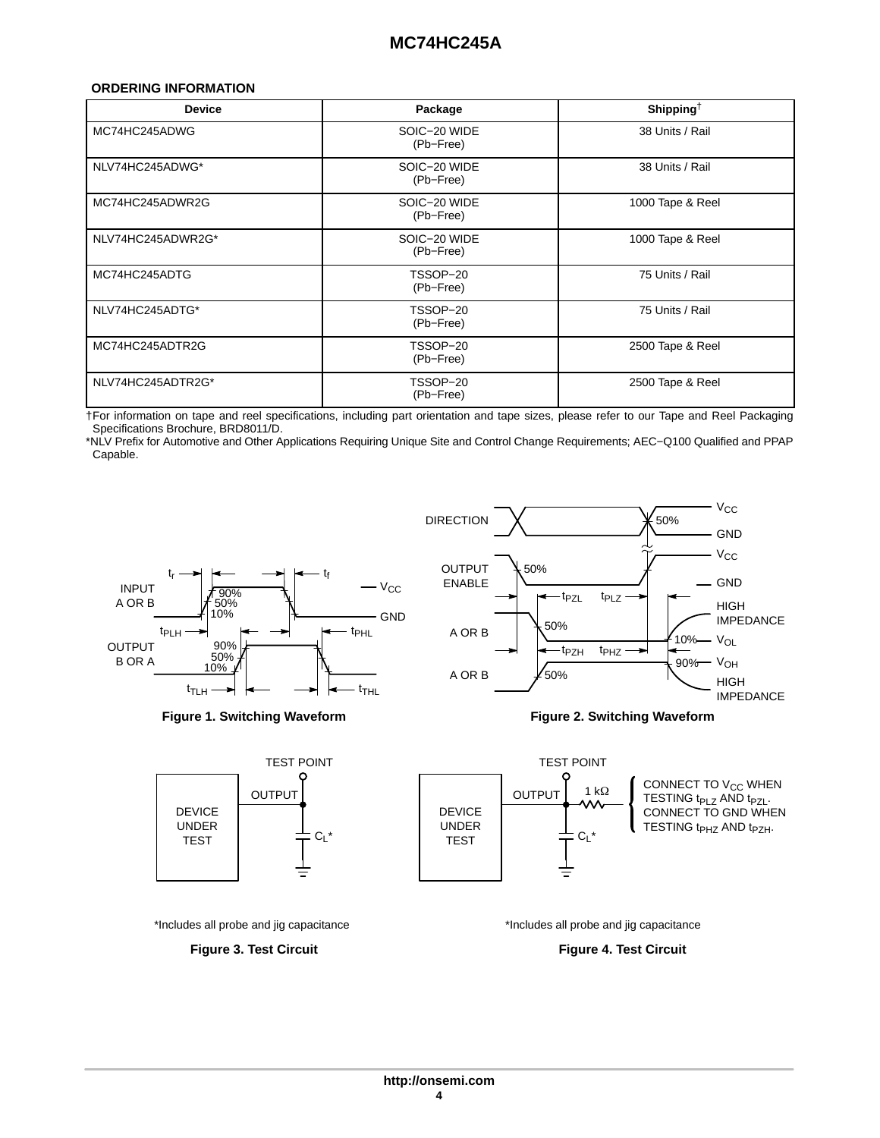## <span id="page-3-0"></span>**ORDERING INFORMATION**

| <b>Device</b>     | Package                   | Shipping <sup>†</sup> |
|-------------------|---------------------------|-----------------------|
| MC74HC245ADWG     | SOIC-20 WIDE<br>(Pb-Free) | 38 Units / Rail       |
| NLV74HC245ADWG*   | SOIC-20 WIDE<br>(Pb-Free) | 38 Units / Rail       |
| MC74HC245ADWR2G   | SOIC-20 WIDE<br>(Pb-Free) | 1000 Tape & Reel      |
| NLV74HC245ADWR2G* | SOIC-20 WIDE<br>(Pb-Free) | 1000 Tape & Reel      |
| MC74HC245ADTG     | TSSOP-20<br>(Pb-Free)     | 75 Units / Rail       |
| NLV74HC245ADTG*   | TSSOP-20<br>(Pb-Free)     | 75 Units / Rail       |
| MC74HC245ADTR2G   | TSSOP-20<br>(Pb-Free)     | 2500 Tape & Reel      |
| NLV74HC245ADTR2G* | TSSOP-20<br>(Pb-Free)     | 2500 Tape & Reel      |

†For information on tape and reel specifications, including part orientation and tape sizes, please refer to our Tape and Reel Packaging Specifications Brochure, BRD8011/D.

\*NLV Prefix for Automotive and Other Applications Requiring Unique Site and Control Change Requirements; AEC−Q100 Qualified and PPAP Capable.













\*Includes all probe and jig capacitance



\*Includes all probe and jig capacitance

**Figure 4. Test Circuit**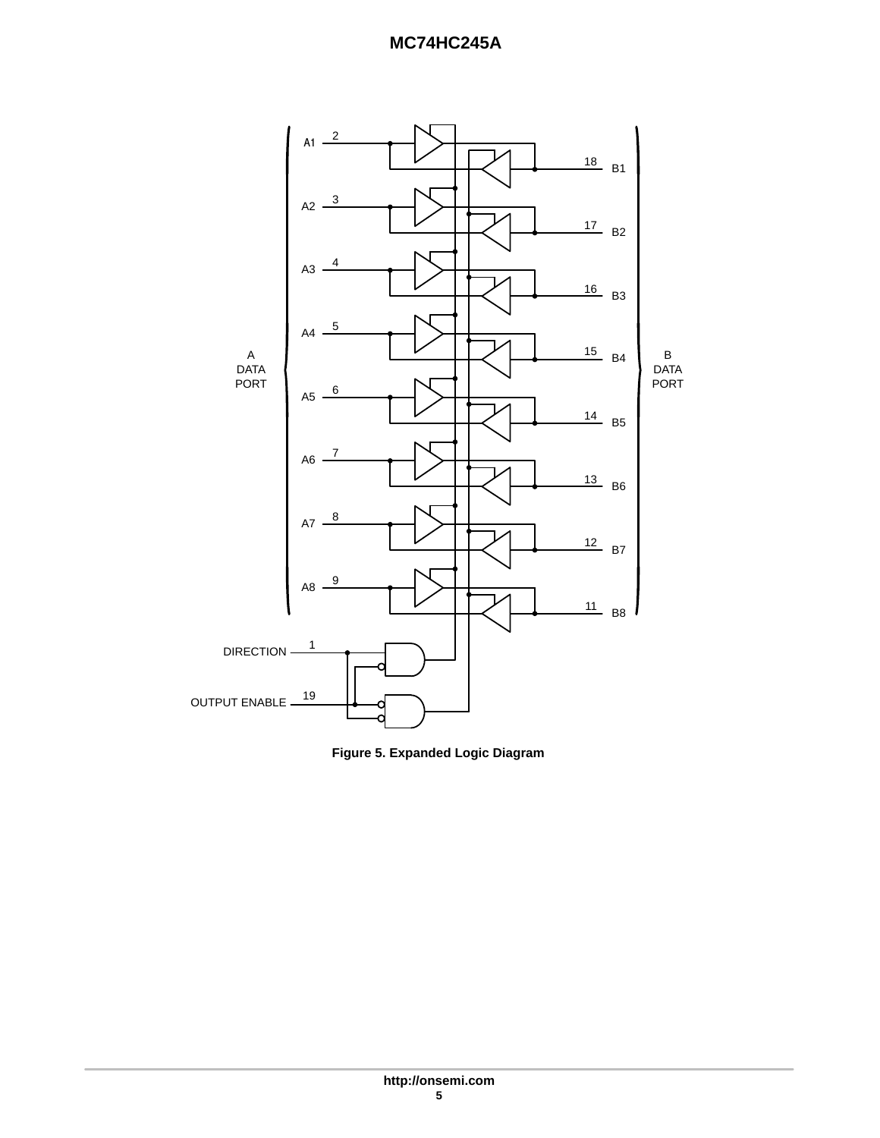## **MC74HC245A**



**Figure 5. Expanded Logic Diagram**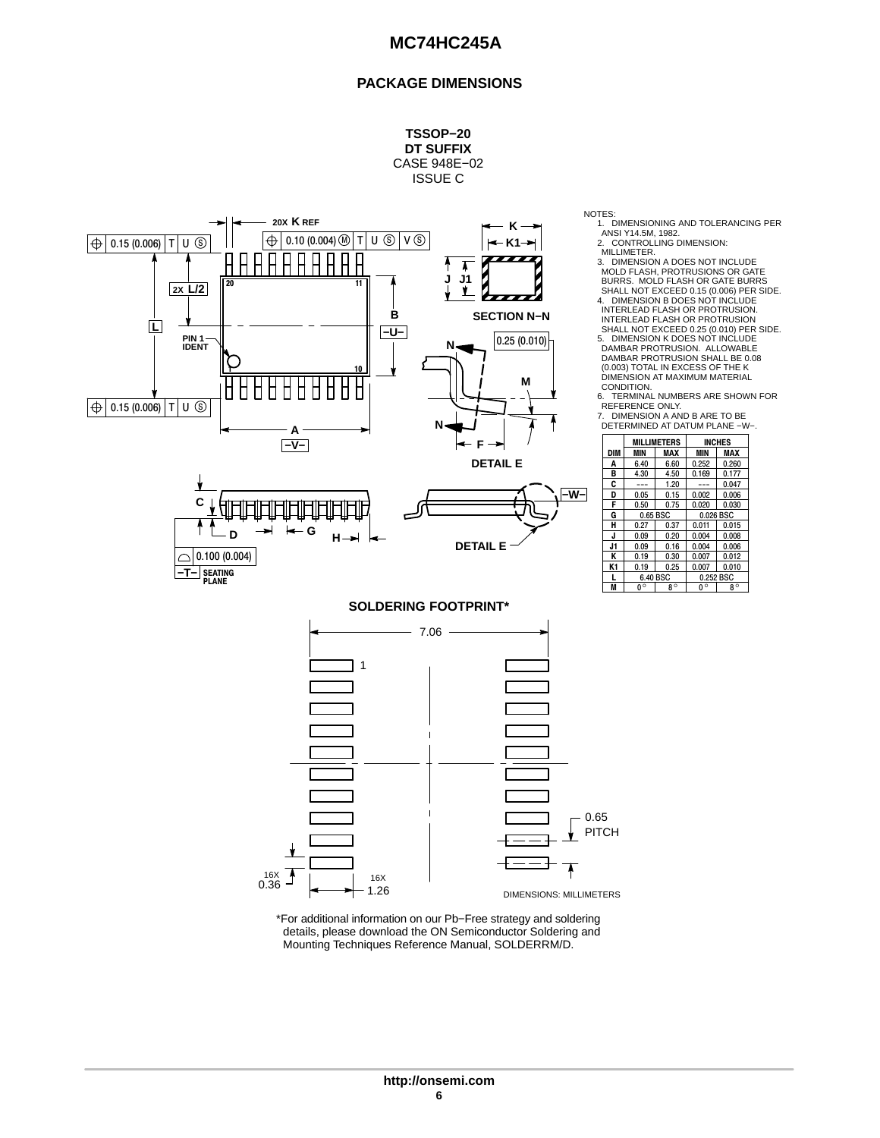## **PACKAGE DIMENSIONS**

**TSSOP−20 DT SUFFIX** CASE 948E−02 ISSUE C



1. DIMENSIONING AND TOLERANCING PER ANSI Y14.5M, 1982.

2. CONTROLLING DIMENSION: MILLIMETER.

3. DIMENSION A DOES NOT INCLUDE MOLD FLASH, PROTRUSIONS OR GATE BURRS. MOLD FLASH OR GATE BURRS  $\sum_{i=1}^{n}$  SHALL NOT EXCEED 0.15 (0.006) PER SIDE. INTERLEAD FLASH OR PROTRUSION.<br>INTERLEAD FLASH OR PROTRUSION SHALL NOT EXCEED 0.25 (0.010) PER SIDE. 5. DIMENSION K DOES NOT INCLUDE DAMBAR PROTRUSION. ALLOWABLE DAMBAR PROTRUSION SHALL BE 0.08 (0.003) TOTAL IN EXCESS OF THE K DIMENSION AT MAXIMUM MATERIAL CONDITION.<br>6. TERMINAL DETERMINED AT MANUSER AN ENGINEER AN ENGINEER AN ENGINEER AN ENGINEER AN ENGINEER AN ENGINEER AND BLACK SCRIPT BURST AND REALLY NOT EXCEED 0.25 (0.010) PER SIDE.<br>
DECTION N-N<br>
INTERLEAD FLASH OR PROTRUSION.<br>
DAMBAR PROTRU

6. TERMINAL NUMBERS ARE SHOWN FOR REFERENCE ONLY. 7. DIMENSION A AND B ARE TO BE



 $0.36 - 16 \times 10^{16} \text{ J}$ 1.26 0.65 DIMENSIONS: MILLIMETERS PITCH

\*For additional information on our Pb−Free strategy and soldering details, please download the ON Semiconductor Soldering and Mounting Techniques Reference Manual, SOLDERRM/D.